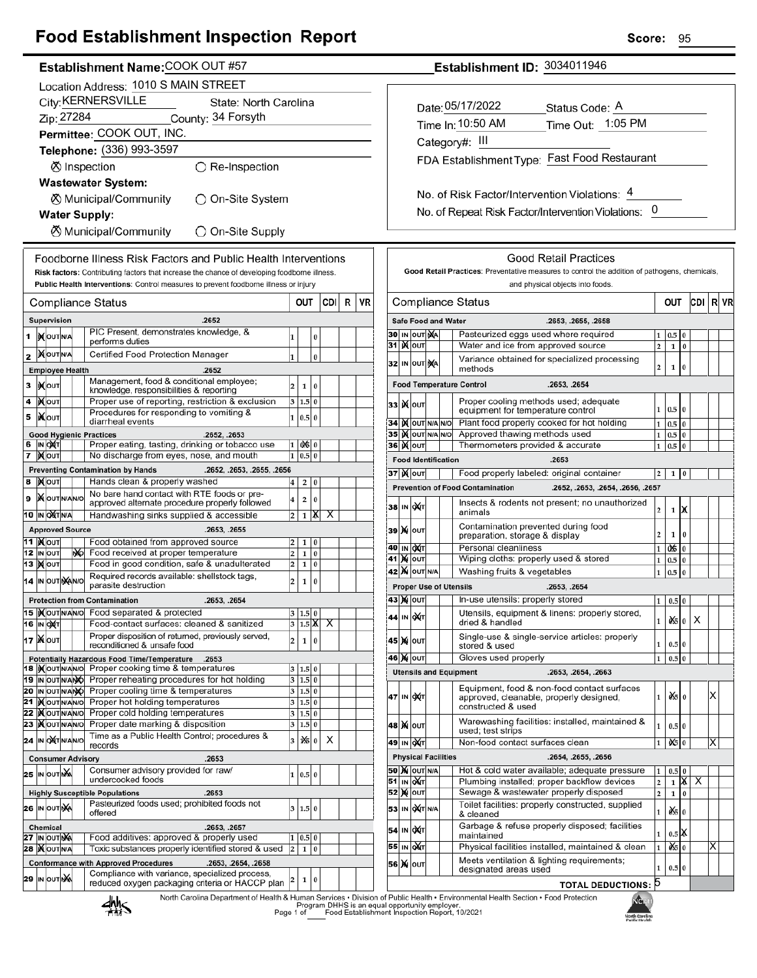## **Food Establishment Inspection Report**

| Establishment Name: COOK OUT #57                                                                                                                               |                                             |                                   |  |  |                                                                                                                      |                   |                |          |     |   |    |  |
|----------------------------------------------------------------------------------------------------------------------------------------------------------------|---------------------------------------------|-----------------------------------|--|--|----------------------------------------------------------------------------------------------------------------------|-------------------|----------------|----------|-----|---|----|--|
| Location Address: 1010 S MAIN STREET                                                                                                                           |                                             |                                   |  |  |                                                                                                                      |                   |                |          |     |   |    |  |
|                                                                                                                                                                | City: KERNERSVILLE<br>State: North Carolina |                                   |  |  |                                                                                                                      |                   |                |          |     |   |    |  |
|                                                                                                                                                                | Zip: 27284<br>County: 34 Forsyth            |                                   |  |  |                                                                                                                      |                   |                |          |     |   |    |  |
|                                                                                                                                                                |                                             |                                   |  |  | Permittee: COOK OUT, INC.                                                                                            |                   |                |          |     |   |    |  |
|                                                                                                                                                                |                                             |                                   |  |  | Telephone: (336) 993-3597                                                                                            |                   |                |          |     |   |    |  |
|                                                                                                                                                                |                                             |                                   |  |  | <b>Ø</b> Inspection<br>$\bigcirc$ Re-Inspection                                                                      |                   |                |          |     |   |    |  |
|                                                                                                                                                                |                                             |                                   |  |  | <b>Wastewater System:</b>                                                                                            |                   |                |          |     |   |    |  |
|                                                                                                                                                                | ⊗ Municipal/Community<br>◯ On-Site System   |                                   |  |  |                                                                                                                      |                   |                |          |     |   |    |  |
| <b>Water Supply:</b>                                                                                                                                           |                                             |                                   |  |  |                                                                                                                      |                   |                |          |     |   |    |  |
| <b>8</b> Municipal/Community<br>$\bigcirc$ On-Site Supply                                                                                                      |                                             |                                   |  |  |                                                                                                                      |                   |                |          |     |   |    |  |
|                                                                                                                                                                |                                             |                                   |  |  |                                                                                                                      |                   |                |          |     |   |    |  |
| Foodborne Illness Risk Factors and Public Health Interventions<br>Risk factors: Contributing factors that increase the chance of developing foodborne illness. |                                             |                                   |  |  |                                                                                                                      |                   |                |          |     |   |    |  |
|                                                                                                                                                                |                                             |                                   |  |  | Public Health Interventions: Control measures to prevent foodborne illness or injury                                 |                   |                |          |     |   |    |  |
|                                                                                                                                                                |                                             |                                   |  |  | Compliance Status                                                                                                    |                   | OUT            |          | CDI | R | VR |  |
|                                                                                                                                                                |                                             | Supervision                       |  |  | .2652                                                                                                                |                   |                |          |     |   |    |  |
| 1                                                                                                                                                              |                                             | <b>IX</b> OUTINA                  |  |  | PIC Present, demonstrates knowledge, &                                                                               | 1                 |                | 0        |     |   |    |  |
| 2                                                                                                                                                              |                                             | <b>XOUTNA</b>                     |  |  | performs duties<br>Certified Food Protection Manager                                                                 | $\mathbf{1}$      |                | $\bf{0}$ |     |   |    |  |
|                                                                                                                                                                |                                             | <b>Employee Health</b>            |  |  | .2652                                                                                                                |                   |                |          |     |   |    |  |
| 3                                                                                                                                                              |                                             | у(оυт                             |  |  | Management, food & conditional employee;<br>knowledge, responsibilities & reporting                                  | $\overline{2}$    | 1              | 0        |     |   |    |  |
| 4                                                                                                                                                              |                                             | ∣) <b>X</b> ∣оυт                  |  |  | Proper use of reporting, restriction & exclusion                                                                     | 3                 | 1.5            | $\bf{0}$ |     |   |    |  |
| 5                                                                                                                                                              |                                             | i <b>X</b> louт                   |  |  | Procedures for responding to vomiting &<br>diarrheal events                                                          | $\mathbf{1}$      | 0.5            | $\bf{0}$ |     |   |    |  |
|                                                                                                                                                                |                                             |                                   |  |  | <b>Good Hygienic Practices</b><br>.2652, .2653                                                                       |                   |                |          |     |   |    |  |
| 6<br>7                                                                                                                                                         |                                             | IN OXT                            |  |  | Proper eating, tasting, drinking or tobacco use<br>No discharge from eyes, nose, and mouth                           | 1<br>$\mathbf{1}$ | 0X5 0<br>0.5   | 0        |     |   |    |  |
|                                                                                                                                                                |                                             | ∣ <b>)∢</b>  оυт                  |  |  | <b>Preventing Contamination by Hands</b><br>.2652, .2653, .2655, .2656                                               |                   |                |          |     |   |    |  |
| 8                                                                                                                                                              |                                             | <b>XOUT</b>                       |  |  | Hands clean & properly washed                                                                                        | 4                 | 2              | 0        |     |   |    |  |
| 9                                                                                                                                                              |                                             | <b>X</b> OUTNANO                  |  |  | No bare hand contact with RTE foods or pre-<br>approved alternate procedure properly followed                        | 4                 | 2              | 0        |     |   |    |  |
|                                                                                                                                                                |                                             | 10 IN OXTNA                       |  |  | Handwashing sinks supplied & accessible                                                                              | 2                 | 1              | x        | x   |   |    |  |
|                                                                                                                                                                |                                             | <b>Approved Source</b>            |  |  | .2653, .2655                                                                                                         |                   |                |          |     |   |    |  |
|                                                                                                                                                                |                                             | 11   <b>)</b> ( <b>OUT</b>        |  |  | Food obtained from approved source                                                                                   | 2                 | 1              | 0        |     |   |    |  |
| 12                                                                                                                                                             |                                             | IN OUT<br><b>13  Х</b>   оит      |  |  | No Food received at proper temperature<br>Food in good condition, safe & unadulterated                               | 2<br>2            | 1<br>1         | 0<br>0   |     |   |    |  |
|                                                                                                                                                                |                                             | 14 IN OUT NAINO                   |  |  | Required records available: shellstock tags,                                                                         | 2                 | 1              | 0        |     |   |    |  |
|                                                                                                                                                                |                                             |                                   |  |  | parasite destruction<br><b>Protection from Contamination</b><br>.2653, .2654                                         |                   |                |          |     |   |    |  |
|                                                                                                                                                                |                                             |                                   |  |  | 15   <b>Kout NANO</b> Food separated & protected                                                                     |                   | 3 1.5 0        |          |     |   |    |  |
| 16                                                                                                                                                             |                                             | IN OXT                            |  |  | Food-contact surfaces: cleaned & sanitized                                                                           | 3                 | $1.5\text{ K}$ |          | х   |   |    |  |
| 17                                                                                                                                                             |                                             | <b>IX</b> louт                    |  |  | Proper disposition of returned, previously served,<br>reconditioned & unsafe food                                    | 2                 | 1              | 0        |     |   |    |  |
|                                                                                                                                                                |                                             |                                   |  |  | Potentially Hazardous Food Time/Temperature<br>.2653                                                                 |                   |                |          |     |   |    |  |
|                                                                                                                                                                |                                             | 19 IN OUT NANO                    |  |  | 18   Nout NANO Proper cooking time & temperatures<br>Proper reheating procedures for hot holding                     | 3<br>3            | 1.5 0<br>1.5 0 |          |     |   |    |  |
|                                                                                                                                                                |                                             | 20 IN OUT NANO                    |  |  | Proper cooling time & temperatures                                                                                   |                   | 3   1.5   0    |          |     |   |    |  |
| 21                                                                                                                                                             |                                             | <b>KOUTNANO</b><br>22   OUTN/AN/O |  |  | Proper hot holding temperatures<br>Proper cold holding temperatures                                                  | 3<br>3            | 1.5 0<br>1.5 0 |          |     |   |    |  |
| 23                                                                                                                                                             |                                             | <b>KOUTNANO</b>                   |  |  | Proper date marking & disposition                                                                                    | 3                 | 1.5 0          |          |     |   |    |  |
|                                                                                                                                                                |                                             | 24 IN OXTNANO                     |  |  | Time as a Public Health Control; procedures &<br>records                                                             | 3                 | 1冷 0           |          | X   |   |    |  |
|                                                                                                                                                                |                                             |                                   |  |  | <b>Consumer Advisory</b><br>.2653                                                                                    |                   |                |          |     |   |    |  |
|                                                                                                                                                                |                                             | 25 IN OUTING                      |  |  | Consumer advisory provided for raw/                                                                                  |                   | 1   0.5   0    |          |     |   |    |  |
|                                                                                                                                                                |                                             |                                   |  |  | undercooked foods<br><b>Highly Susceptible Populations</b><br>.2653                                                  |                   |                |          |     |   |    |  |
|                                                                                                                                                                |                                             | 26 IN OUT NA                      |  |  | Pasteurized foods used; prohibited foods not                                                                         | 3                 | 1.5            | 0        |     |   |    |  |
|                                                                                                                                                                |                                             | <b>Chemical</b>                   |  |  | offered<br>.2653, .2657                                                                                              |                   |                |          |     |   |    |  |
|                                                                                                                                                                |                                             | 27 IN OUT NA                      |  |  | Food additives: approved & properly used                                                                             | 1                 | 0.5            | 0        |     |   |    |  |
|                                                                                                                                                                |                                             | <b>28   OUT N/A</b>               |  |  | Toxic substances properly identified stored & used                                                                   | $\overline{2}$    | 1              | 0        |     |   |    |  |
|                                                                                                                                                                |                                             |                                   |  |  | <b>Conformance with Approved Procedures</b><br>.2653, .2654, .2658<br>Compliance with variance, specialized process, |                   |                |          |     |   |    |  |
| 29                                                                                                                                                             |                                             | IN OUT NA                         |  |  | reduced oxygen packaging criteria or HACCP plan<br>North Carolina Department of Health & Huma                        | 2                 | 1              | 0        |     |   |    |  |

### Establishment ID: 3034011946

| Date: 05/17/2022                             | Status Code: A    |  |  |  |  |  |
|----------------------------------------------|-------------------|--|--|--|--|--|
| Time In: 10:50 AM                            | Time Out: 1:05 PM |  |  |  |  |  |
| Category#: III                               |                   |  |  |  |  |  |
| FDA Establishment Type: Fast Food Restaurant |                   |  |  |  |  |  |
|                                              |                   |  |  |  |  |  |

No. of Risk Factor/Intervention Violations: 4 No. of Repeat Risk Factor/Intervention Violations: 0

| Compliance Status<br>CDI<br>OUT<br><b>Safe Food and Water</b><br>.2653, .2655, .2658<br>Pasteurized eggs used where required<br>30<br>IN OUT NA<br>0.5<br>1<br>31<br>Water and ice from approved source<br>$\overline{\mathbf{c}}$<br>I)(∣ou⊤<br>$\bf{0}$<br>1<br>Variance obtained for specialized processing<br>32<br>IN OUT<br>ŅA<br>2<br>0<br>1<br>methods<br><b>Food Temperature Control</b><br>.2653, .2654<br>Proper cooling methods used; adequate<br><b>K</b> lout<br>33<br>0.5<br>1<br>$\bf{0}$<br>equipment for temperature control<br>Plant food properly cooked for hot holding<br><b>IX</b> OUT N/A N/O<br>34<br>1<br>0.5<br>$\bf{0}$<br>Approved thawing methods used<br>IX OUT N/A N/O<br>351<br>1<br>0.5<br>0<br>Thermometers provided & accurate<br>36∣)(∥о∪т<br>$\mathbf{1}$<br>0.5<br>$\bf{0}$<br><b>Food Identification</b><br>.2653<br>37∣)( ∣о∪т<br>Food properly labeled: original container<br>2<br>1<br>0<br><b>Prevention of Food Contamination</b><br>.2652, .2653, .2654, .2656, .2657<br>Insects & rodents not present; no unauthorized<br>IN OXT<br>38<br>2<br>1<br>х<br>animals<br>Contamination prevented during food<br>39<br><b>X</b> OUT<br>2<br>0<br>preparation, storage & display<br>1<br>Personal cleanliness<br>40<br>IN OUT<br>0\$<br>1<br>0<br>Wiping cloths: properly used & stored<br>M<br>OUT<br>41<br>1<br>0.5<br>0<br>Washing fruits & vegetables<br><b>X</b> OUT N/A<br>$\mathbf{1}$<br>0.5<br>$\bf{0}$<br>42<br><b>Proper Use of Utensils</b><br>.2653, .2654<br>In-use utensils: properly stored<br>43 )X  ouт<br>1<br>0.5<br>$\bf{0}$<br>Utensils, equipment & linens: properly stored,<br><b>DXT</b><br>IN<br>44<br>х<br>0\$<br>1<br>$\bf{0}$<br>dried & handled<br>Single-use & single-service articles: properly<br><b>X</b> OUT<br>45<br>$\bf{0}$<br>1<br>$_{0.5}$<br>stored & used<br>Gloves used properly<br>0.5<br>46<br><b>X</b> OUT<br>1<br>0<br><b>Utensils and Equipment</b><br>.2653, .2654, .2663<br>Equipment, food & non-food contact surfaces<br>ð\$<br>охт<br>1<br>47<br>IN<br>approved, cleanable, properly designed,<br>$\Omega$<br>constructed & used<br>Warewashing facilities: installed, maintained &<br><b>X</b> OUT<br>48<br>0.5<br>$\bf{0}$<br>1<br>used; test strips<br>Non-food contact surfaces clean<br>49<br>IN QAT<br>$\mathbf{1}$<br>û\$<br>$\bf{0}$<br><b>Physical Facilities</b><br>.2654, .2655, .2656<br>Hot & cold water available; adequate pressure<br><b>50 M</b> OUT N/A<br>0.5<br>1<br>0<br>Plumbing installed; proper backflow devices<br>X<br>51<br>IN QUT<br>$\overline{\mathbf{c}}$<br>х<br>$\mathbf{1}$<br>Sewage & wastewater properly disposed<br>52<br>M<br>OUT<br>$\overline{2}$<br>0<br>1<br>Toilet facilities: properly constructed, supplied<br>OXT N/A<br>53<br>IN<br>ð.s<br>0<br>1<br>& cleaned<br>Garbage & refuse properly disposed; facilities<br>OXT<br>54<br>IN<br>K<br>1<br>0.5<br>maintained<br>òś<br>Physical facilities installed, maintained & clean<br>55<br>IN<br>ОДТ<br>1<br>0<br>Meets ventilation & lighting requirements;<br>M<br>56<br>OUT<br>$\bf{0}$<br>1<br>0.5<br>designated areas used |    |   | Good Retail Practices: Preventative measures to control the addition of pathogens, chemicals, |  |  | and physical objects into foods. |  |  |  |  |  |  |  |
|---------------------------------------------------------------------------------------------------------------------------------------------------------------------------------------------------------------------------------------------------------------------------------------------------------------------------------------------------------------------------------------------------------------------------------------------------------------------------------------------------------------------------------------------------------------------------------------------------------------------------------------------------------------------------------------------------------------------------------------------------------------------------------------------------------------------------------------------------------------------------------------------------------------------------------------------------------------------------------------------------------------------------------------------------------------------------------------------------------------------------------------------------------------------------------------------------------------------------------------------------------------------------------------------------------------------------------------------------------------------------------------------------------------------------------------------------------------------------------------------------------------------------------------------------------------------------------------------------------------------------------------------------------------------------------------------------------------------------------------------------------------------------------------------------------------------------------------------------------------------------------------------------------------------------------------------------------------------------------------------------------------------------------------------------------------------------------------------------------------------------------------------------------------------------------------------------------------------------------------------------------------------------------------------------------------------------------------------------------------------------------------------------------------------------------------------------------------------------------------------------------------------------------------------------------------------------------------------------------------------------------------------------------------------------------------------------------------------------------------------------------------------------------------------------------------------------------------------------------------------------------------------------------------------------------------------------------------------------------------------------------------------------------------------------------------------------------------------------------------------------|----|---|-----------------------------------------------------------------------------------------------|--|--|----------------------------------|--|--|--|--|--|--|--|
|                                                                                                                                                                                                                                                                                                                                                                                                                                                                                                                                                                                                                                                                                                                                                                                                                                                                                                                                                                                                                                                                                                                                                                                                                                                                                                                                                                                                                                                                                                                                                                                                                                                                                                                                                                                                                                                                                                                                                                                                                                                                                                                                                                                                                                                                                                                                                                                                                                                                                                                                                                                                                                                                                                                                                                                                                                                                                                                                                                                                                                                                                                                           | VR | R |                                                                                               |  |  |                                  |  |  |  |  |  |  |  |
|                                                                                                                                                                                                                                                                                                                                                                                                                                                                                                                                                                                                                                                                                                                                                                                                                                                                                                                                                                                                                                                                                                                                                                                                                                                                                                                                                                                                                                                                                                                                                                                                                                                                                                                                                                                                                                                                                                                                                                                                                                                                                                                                                                                                                                                                                                                                                                                                                                                                                                                                                                                                                                                                                                                                                                                                                                                                                                                                                                                                                                                                                                                           |    |   |                                                                                               |  |  |                                  |  |  |  |  |  |  |  |
|                                                                                                                                                                                                                                                                                                                                                                                                                                                                                                                                                                                                                                                                                                                                                                                                                                                                                                                                                                                                                                                                                                                                                                                                                                                                                                                                                                                                                                                                                                                                                                                                                                                                                                                                                                                                                                                                                                                                                                                                                                                                                                                                                                                                                                                                                                                                                                                                                                                                                                                                                                                                                                                                                                                                                                                                                                                                                                                                                                                                                                                                                                                           |    |   |                                                                                               |  |  |                                  |  |  |  |  |  |  |  |
|                                                                                                                                                                                                                                                                                                                                                                                                                                                                                                                                                                                                                                                                                                                                                                                                                                                                                                                                                                                                                                                                                                                                                                                                                                                                                                                                                                                                                                                                                                                                                                                                                                                                                                                                                                                                                                                                                                                                                                                                                                                                                                                                                                                                                                                                                                                                                                                                                                                                                                                                                                                                                                                                                                                                                                                                                                                                                                                                                                                                                                                                                                                           |    |   |                                                                                               |  |  |                                  |  |  |  |  |  |  |  |
|                                                                                                                                                                                                                                                                                                                                                                                                                                                                                                                                                                                                                                                                                                                                                                                                                                                                                                                                                                                                                                                                                                                                                                                                                                                                                                                                                                                                                                                                                                                                                                                                                                                                                                                                                                                                                                                                                                                                                                                                                                                                                                                                                                                                                                                                                                                                                                                                                                                                                                                                                                                                                                                                                                                                                                                                                                                                                                                                                                                                                                                                                                                           |    |   |                                                                                               |  |  |                                  |  |  |  |  |  |  |  |
|                                                                                                                                                                                                                                                                                                                                                                                                                                                                                                                                                                                                                                                                                                                                                                                                                                                                                                                                                                                                                                                                                                                                                                                                                                                                                                                                                                                                                                                                                                                                                                                                                                                                                                                                                                                                                                                                                                                                                                                                                                                                                                                                                                                                                                                                                                                                                                                                                                                                                                                                                                                                                                                                                                                                                                                                                                                                                                                                                                                                                                                                                                                           |    |   |                                                                                               |  |  |                                  |  |  |  |  |  |  |  |
|                                                                                                                                                                                                                                                                                                                                                                                                                                                                                                                                                                                                                                                                                                                                                                                                                                                                                                                                                                                                                                                                                                                                                                                                                                                                                                                                                                                                                                                                                                                                                                                                                                                                                                                                                                                                                                                                                                                                                                                                                                                                                                                                                                                                                                                                                                                                                                                                                                                                                                                                                                                                                                                                                                                                                                                                                                                                                                                                                                                                                                                                                                                           |    |   |                                                                                               |  |  |                                  |  |  |  |  |  |  |  |
|                                                                                                                                                                                                                                                                                                                                                                                                                                                                                                                                                                                                                                                                                                                                                                                                                                                                                                                                                                                                                                                                                                                                                                                                                                                                                                                                                                                                                                                                                                                                                                                                                                                                                                                                                                                                                                                                                                                                                                                                                                                                                                                                                                                                                                                                                                                                                                                                                                                                                                                                                                                                                                                                                                                                                                                                                                                                                                                                                                                                                                                                                                                           |    |   |                                                                                               |  |  |                                  |  |  |  |  |  |  |  |
|                                                                                                                                                                                                                                                                                                                                                                                                                                                                                                                                                                                                                                                                                                                                                                                                                                                                                                                                                                                                                                                                                                                                                                                                                                                                                                                                                                                                                                                                                                                                                                                                                                                                                                                                                                                                                                                                                                                                                                                                                                                                                                                                                                                                                                                                                                                                                                                                                                                                                                                                                                                                                                                                                                                                                                                                                                                                                                                                                                                                                                                                                                                           |    |   |                                                                                               |  |  |                                  |  |  |  |  |  |  |  |
|                                                                                                                                                                                                                                                                                                                                                                                                                                                                                                                                                                                                                                                                                                                                                                                                                                                                                                                                                                                                                                                                                                                                                                                                                                                                                                                                                                                                                                                                                                                                                                                                                                                                                                                                                                                                                                                                                                                                                                                                                                                                                                                                                                                                                                                                                                                                                                                                                                                                                                                                                                                                                                                                                                                                                                                                                                                                                                                                                                                                                                                                                                                           |    |   |                                                                                               |  |  |                                  |  |  |  |  |  |  |  |
|                                                                                                                                                                                                                                                                                                                                                                                                                                                                                                                                                                                                                                                                                                                                                                                                                                                                                                                                                                                                                                                                                                                                                                                                                                                                                                                                                                                                                                                                                                                                                                                                                                                                                                                                                                                                                                                                                                                                                                                                                                                                                                                                                                                                                                                                                                                                                                                                                                                                                                                                                                                                                                                                                                                                                                                                                                                                                                                                                                                                                                                                                                                           |    |   |                                                                                               |  |  |                                  |  |  |  |  |  |  |  |
|                                                                                                                                                                                                                                                                                                                                                                                                                                                                                                                                                                                                                                                                                                                                                                                                                                                                                                                                                                                                                                                                                                                                                                                                                                                                                                                                                                                                                                                                                                                                                                                                                                                                                                                                                                                                                                                                                                                                                                                                                                                                                                                                                                                                                                                                                                                                                                                                                                                                                                                                                                                                                                                                                                                                                                                                                                                                                                                                                                                                                                                                                                                           |    |   |                                                                                               |  |  |                                  |  |  |  |  |  |  |  |
|                                                                                                                                                                                                                                                                                                                                                                                                                                                                                                                                                                                                                                                                                                                                                                                                                                                                                                                                                                                                                                                                                                                                                                                                                                                                                                                                                                                                                                                                                                                                                                                                                                                                                                                                                                                                                                                                                                                                                                                                                                                                                                                                                                                                                                                                                                                                                                                                                                                                                                                                                                                                                                                                                                                                                                                                                                                                                                                                                                                                                                                                                                                           |    |   |                                                                                               |  |  |                                  |  |  |  |  |  |  |  |
|                                                                                                                                                                                                                                                                                                                                                                                                                                                                                                                                                                                                                                                                                                                                                                                                                                                                                                                                                                                                                                                                                                                                                                                                                                                                                                                                                                                                                                                                                                                                                                                                                                                                                                                                                                                                                                                                                                                                                                                                                                                                                                                                                                                                                                                                                                                                                                                                                                                                                                                                                                                                                                                                                                                                                                                                                                                                                                                                                                                                                                                                                                                           |    |   |                                                                                               |  |  |                                  |  |  |  |  |  |  |  |
|                                                                                                                                                                                                                                                                                                                                                                                                                                                                                                                                                                                                                                                                                                                                                                                                                                                                                                                                                                                                                                                                                                                                                                                                                                                                                                                                                                                                                                                                                                                                                                                                                                                                                                                                                                                                                                                                                                                                                                                                                                                                                                                                                                                                                                                                                                                                                                                                                                                                                                                                                                                                                                                                                                                                                                                                                                                                                                                                                                                                                                                                                                                           |    |   |                                                                                               |  |  |                                  |  |  |  |  |  |  |  |
|                                                                                                                                                                                                                                                                                                                                                                                                                                                                                                                                                                                                                                                                                                                                                                                                                                                                                                                                                                                                                                                                                                                                                                                                                                                                                                                                                                                                                                                                                                                                                                                                                                                                                                                                                                                                                                                                                                                                                                                                                                                                                                                                                                                                                                                                                                                                                                                                                                                                                                                                                                                                                                                                                                                                                                                                                                                                                                                                                                                                                                                                                                                           |    |   |                                                                                               |  |  |                                  |  |  |  |  |  |  |  |
|                                                                                                                                                                                                                                                                                                                                                                                                                                                                                                                                                                                                                                                                                                                                                                                                                                                                                                                                                                                                                                                                                                                                                                                                                                                                                                                                                                                                                                                                                                                                                                                                                                                                                                                                                                                                                                                                                                                                                                                                                                                                                                                                                                                                                                                                                                                                                                                                                                                                                                                                                                                                                                                                                                                                                                                                                                                                                                                                                                                                                                                                                                                           |    |   |                                                                                               |  |  |                                  |  |  |  |  |  |  |  |
|                                                                                                                                                                                                                                                                                                                                                                                                                                                                                                                                                                                                                                                                                                                                                                                                                                                                                                                                                                                                                                                                                                                                                                                                                                                                                                                                                                                                                                                                                                                                                                                                                                                                                                                                                                                                                                                                                                                                                                                                                                                                                                                                                                                                                                                                                                                                                                                                                                                                                                                                                                                                                                                                                                                                                                                                                                                                                                                                                                                                                                                                                                                           |    |   |                                                                                               |  |  |                                  |  |  |  |  |  |  |  |
|                                                                                                                                                                                                                                                                                                                                                                                                                                                                                                                                                                                                                                                                                                                                                                                                                                                                                                                                                                                                                                                                                                                                                                                                                                                                                                                                                                                                                                                                                                                                                                                                                                                                                                                                                                                                                                                                                                                                                                                                                                                                                                                                                                                                                                                                                                                                                                                                                                                                                                                                                                                                                                                                                                                                                                                                                                                                                                                                                                                                                                                                                                                           |    |   |                                                                                               |  |  |                                  |  |  |  |  |  |  |  |
|                                                                                                                                                                                                                                                                                                                                                                                                                                                                                                                                                                                                                                                                                                                                                                                                                                                                                                                                                                                                                                                                                                                                                                                                                                                                                                                                                                                                                                                                                                                                                                                                                                                                                                                                                                                                                                                                                                                                                                                                                                                                                                                                                                                                                                                                                                                                                                                                                                                                                                                                                                                                                                                                                                                                                                                                                                                                                                                                                                                                                                                                                                                           |    |   |                                                                                               |  |  |                                  |  |  |  |  |  |  |  |
|                                                                                                                                                                                                                                                                                                                                                                                                                                                                                                                                                                                                                                                                                                                                                                                                                                                                                                                                                                                                                                                                                                                                                                                                                                                                                                                                                                                                                                                                                                                                                                                                                                                                                                                                                                                                                                                                                                                                                                                                                                                                                                                                                                                                                                                                                                                                                                                                                                                                                                                                                                                                                                                                                                                                                                                                                                                                                                                                                                                                                                                                                                                           |    |   |                                                                                               |  |  |                                  |  |  |  |  |  |  |  |
|                                                                                                                                                                                                                                                                                                                                                                                                                                                                                                                                                                                                                                                                                                                                                                                                                                                                                                                                                                                                                                                                                                                                                                                                                                                                                                                                                                                                                                                                                                                                                                                                                                                                                                                                                                                                                                                                                                                                                                                                                                                                                                                                                                                                                                                                                                                                                                                                                                                                                                                                                                                                                                                                                                                                                                                                                                                                                                                                                                                                                                                                                                                           |    |   |                                                                                               |  |  |                                  |  |  |  |  |  |  |  |
|                                                                                                                                                                                                                                                                                                                                                                                                                                                                                                                                                                                                                                                                                                                                                                                                                                                                                                                                                                                                                                                                                                                                                                                                                                                                                                                                                                                                                                                                                                                                                                                                                                                                                                                                                                                                                                                                                                                                                                                                                                                                                                                                                                                                                                                                                                                                                                                                                                                                                                                                                                                                                                                                                                                                                                                                                                                                                                                                                                                                                                                                                                                           |    |   |                                                                                               |  |  |                                  |  |  |  |  |  |  |  |
|                                                                                                                                                                                                                                                                                                                                                                                                                                                                                                                                                                                                                                                                                                                                                                                                                                                                                                                                                                                                                                                                                                                                                                                                                                                                                                                                                                                                                                                                                                                                                                                                                                                                                                                                                                                                                                                                                                                                                                                                                                                                                                                                                                                                                                                                                                                                                                                                                                                                                                                                                                                                                                                                                                                                                                                                                                                                                                                                                                                                                                                                                                                           |    |   |                                                                                               |  |  |                                  |  |  |  |  |  |  |  |
|                                                                                                                                                                                                                                                                                                                                                                                                                                                                                                                                                                                                                                                                                                                                                                                                                                                                                                                                                                                                                                                                                                                                                                                                                                                                                                                                                                                                                                                                                                                                                                                                                                                                                                                                                                                                                                                                                                                                                                                                                                                                                                                                                                                                                                                                                                                                                                                                                                                                                                                                                                                                                                                                                                                                                                                                                                                                                                                                                                                                                                                                                                                           |    | Х |                                                                                               |  |  |                                  |  |  |  |  |  |  |  |
|                                                                                                                                                                                                                                                                                                                                                                                                                                                                                                                                                                                                                                                                                                                                                                                                                                                                                                                                                                                                                                                                                                                                                                                                                                                                                                                                                                                                                                                                                                                                                                                                                                                                                                                                                                                                                                                                                                                                                                                                                                                                                                                                                                                                                                                                                                                                                                                                                                                                                                                                                                                                                                                                                                                                                                                                                                                                                                                                                                                                                                                                                                                           |    |   |                                                                                               |  |  |                                  |  |  |  |  |  |  |  |
|                                                                                                                                                                                                                                                                                                                                                                                                                                                                                                                                                                                                                                                                                                                                                                                                                                                                                                                                                                                                                                                                                                                                                                                                                                                                                                                                                                                                                                                                                                                                                                                                                                                                                                                                                                                                                                                                                                                                                                                                                                                                                                                                                                                                                                                                                                                                                                                                                                                                                                                                                                                                                                                                                                                                                                                                                                                                                                                                                                                                                                                                                                                           |    | X |                                                                                               |  |  |                                  |  |  |  |  |  |  |  |
|                                                                                                                                                                                                                                                                                                                                                                                                                                                                                                                                                                                                                                                                                                                                                                                                                                                                                                                                                                                                                                                                                                                                                                                                                                                                                                                                                                                                                                                                                                                                                                                                                                                                                                                                                                                                                                                                                                                                                                                                                                                                                                                                                                                                                                                                                                                                                                                                                                                                                                                                                                                                                                                                                                                                                                                                                                                                                                                                                                                                                                                                                                                           |    |   |                                                                                               |  |  |                                  |  |  |  |  |  |  |  |
|                                                                                                                                                                                                                                                                                                                                                                                                                                                                                                                                                                                                                                                                                                                                                                                                                                                                                                                                                                                                                                                                                                                                                                                                                                                                                                                                                                                                                                                                                                                                                                                                                                                                                                                                                                                                                                                                                                                                                                                                                                                                                                                                                                                                                                                                                                                                                                                                                                                                                                                                                                                                                                                                                                                                                                                                                                                                                                                                                                                                                                                                                                                           |    |   |                                                                                               |  |  |                                  |  |  |  |  |  |  |  |
|                                                                                                                                                                                                                                                                                                                                                                                                                                                                                                                                                                                                                                                                                                                                                                                                                                                                                                                                                                                                                                                                                                                                                                                                                                                                                                                                                                                                                                                                                                                                                                                                                                                                                                                                                                                                                                                                                                                                                                                                                                                                                                                                                                                                                                                                                                                                                                                                                                                                                                                                                                                                                                                                                                                                                                                                                                                                                                                                                                                                                                                                                                                           |    |   |                                                                                               |  |  |                                  |  |  |  |  |  |  |  |
|                                                                                                                                                                                                                                                                                                                                                                                                                                                                                                                                                                                                                                                                                                                                                                                                                                                                                                                                                                                                                                                                                                                                                                                                                                                                                                                                                                                                                                                                                                                                                                                                                                                                                                                                                                                                                                                                                                                                                                                                                                                                                                                                                                                                                                                                                                                                                                                                                                                                                                                                                                                                                                                                                                                                                                                                                                                                                                                                                                                                                                                                                                                           |    |   |                                                                                               |  |  |                                  |  |  |  |  |  |  |  |
|                                                                                                                                                                                                                                                                                                                                                                                                                                                                                                                                                                                                                                                                                                                                                                                                                                                                                                                                                                                                                                                                                                                                                                                                                                                                                                                                                                                                                                                                                                                                                                                                                                                                                                                                                                                                                                                                                                                                                                                                                                                                                                                                                                                                                                                                                                                                                                                                                                                                                                                                                                                                                                                                                                                                                                                                                                                                                                                                                                                                                                                                                                                           |    |   |                                                                                               |  |  |                                  |  |  |  |  |  |  |  |
|                                                                                                                                                                                                                                                                                                                                                                                                                                                                                                                                                                                                                                                                                                                                                                                                                                                                                                                                                                                                                                                                                                                                                                                                                                                                                                                                                                                                                                                                                                                                                                                                                                                                                                                                                                                                                                                                                                                                                                                                                                                                                                                                                                                                                                                                                                                                                                                                                                                                                                                                                                                                                                                                                                                                                                                                                                                                                                                                                                                                                                                                                                                           |    |   |                                                                                               |  |  |                                  |  |  |  |  |  |  |  |
|                                                                                                                                                                                                                                                                                                                                                                                                                                                                                                                                                                                                                                                                                                                                                                                                                                                                                                                                                                                                                                                                                                                                                                                                                                                                                                                                                                                                                                                                                                                                                                                                                                                                                                                                                                                                                                                                                                                                                                                                                                                                                                                                                                                                                                                                                                                                                                                                                                                                                                                                                                                                                                                                                                                                                                                                                                                                                                                                                                                                                                                                                                                           |    | х |                                                                                               |  |  |                                  |  |  |  |  |  |  |  |
| 15                                                                                                                                                                                                                                                                                                                                                                                                                                                                                                                                                                                                                                                                                                                                                                                                                                                                                                                                                                                                                                                                                                                                                                                                                                                                                                                                                                                                                                                                                                                                                                                                                                                                                                                                                                                                                                                                                                                                                                                                                                                                                                                                                                                                                                                                                                                                                                                                                                                                                                                                                                                                                                                                                                                                                                                                                                                                                                                                                                                                                                                                                                                        |    |   |                                                                                               |  |  |                                  |  |  |  |  |  |  |  |



alth & Human Services • Division of Public Health • Environmenta<br>Program DHHS is an equal opportunity employer.<br>Page 1 of Food Establishment Inspection Report, 10/2021

Score: 95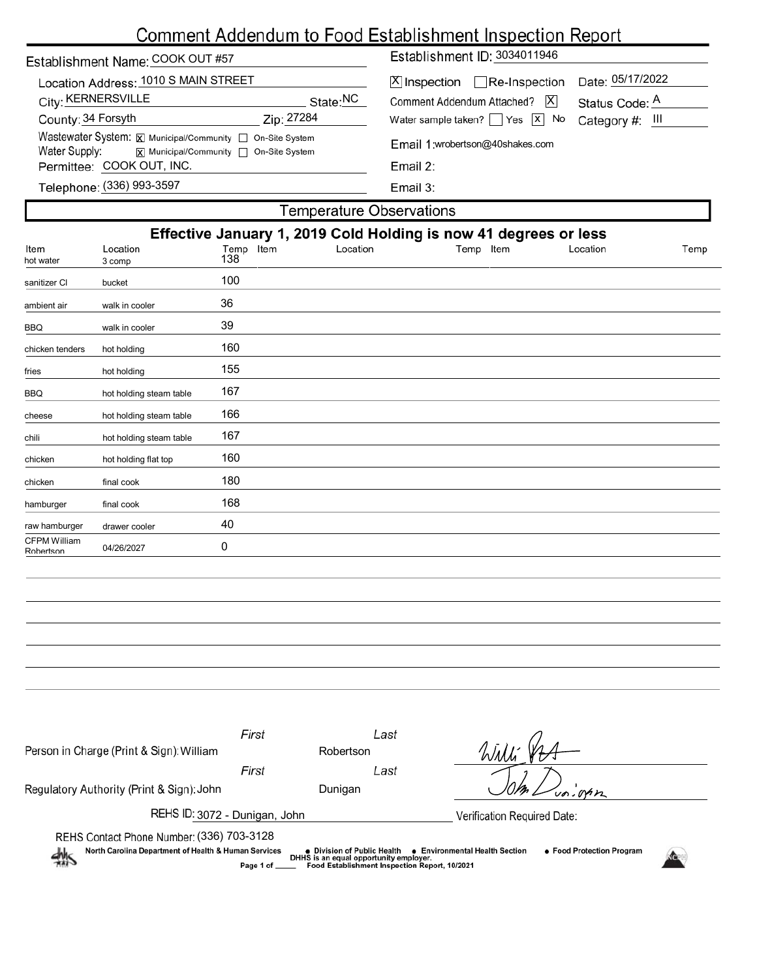# Comment Addendum to Food Establishment Inspection Report

| Establishment Name: COOK OUT #57                                                                                                                         |                                                                     | Establishment ID: 3034011946                |                      |  |  |  |  |  |
|----------------------------------------------------------------------------------------------------------------------------------------------------------|---------------------------------------------------------------------|---------------------------------------------|----------------------|--|--|--|--|--|
| Location Address: 1010 S MAIN STREET<br>City: KERNERSVILLE                                                                                               | □Re-Inspection<br>X Inspection<br> X <br>Comment Addendum Attached? | Date: 05/17/2022<br>Status Code: A          |                      |  |  |  |  |  |
| County: 34 Forsyth<br>Zip: 27284                                                                                                                         |                                                                     | Water sample taken? $\Box$ Yes $\Box$ No    | Category $#$ : $   $ |  |  |  |  |  |
| Wastewater System: X Municipal/Community   On-Site System<br>Water Supply:<br><b>x</b> Municipal/Community □ On-Site System<br>Permittee: COOK OUT, INC. |                                                                     | Email 1:wrobertson@40shakes.com<br>Email 2: |                      |  |  |  |  |  |
| Telephone: (336) 993-3597                                                                                                                                |                                                                     | Email $3:$                                  |                      |  |  |  |  |  |
| Temperature Observations                                                                                                                                 |                                                                     |                                             |                      |  |  |  |  |  |

| Effective January 1, 2019 Cold Holding is now 41 degrees or less<br>Location<br>Item<br>Location<br>Temp Item<br>Temp Item<br>Location<br>Temp |                         |     |  |  |  |  |  |  |
|------------------------------------------------------------------------------------------------------------------------------------------------|-------------------------|-----|--|--|--|--|--|--|
| hot water                                                                                                                                      | 3 comp                  | 138 |  |  |  |  |  |  |
| sanitizer Cl                                                                                                                                   | bucket                  | 100 |  |  |  |  |  |  |
| ambient air                                                                                                                                    | walk in cooler          | 36  |  |  |  |  |  |  |
| BBQ                                                                                                                                            | walk in cooler          | 39  |  |  |  |  |  |  |
| chicken tenders                                                                                                                                | hot holding             | 160 |  |  |  |  |  |  |
| fries                                                                                                                                          | hot holding             | 155 |  |  |  |  |  |  |
| <b>BBQ</b>                                                                                                                                     | hot holding steam table | 167 |  |  |  |  |  |  |
| cheese                                                                                                                                         | hot holding steam table | 166 |  |  |  |  |  |  |
| chili                                                                                                                                          | hot holding steam table | 167 |  |  |  |  |  |  |
| chicken                                                                                                                                        | hot holding flat top    | 160 |  |  |  |  |  |  |
| chicken                                                                                                                                        | final cook              | 180 |  |  |  |  |  |  |
| hamburger                                                                                                                                      | final cook              | 168 |  |  |  |  |  |  |
| raw hamburger                                                                                                                                  | drawer cooler           | 40  |  |  |  |  |  |  |
| <b>CFPM William</b><br>Robertson                                                                                                               | 04/26/2027              | 0   |  |  |  |  |  |  |
|                                                                                                                                                |                         |     |  |  |  |  |  |  |

| Person in Charge (Print & Sign): William                                                                                                                                                                                                                                                                            | First | Last<br>Robertson |                             |  |  |  |  |  |
|---------------------------------------------------------------------------------------------------------------------------------------------------------------------------------------------------------------------------------------------------------------------------------------------------------------------|-------|-------------------|-----------------------------|--|--|--|--|--|
| Regulatory Authority (Print & Sign): John                                                                                                                                                                                                                                                                           | First | Last<br>Dunigan   |                             |  |  |  |  |  |
| REHS ID: 3072 - Dunigan, John                                                                                                                                                                                                                                                                                       |       |                   | Verification Required Date: |  |  |  |  |  |
| REHS Contact Phone Number: (336) 703-3128<br>North Carolina Department of Health & Human Services<br><b>Environmental Health Section</b><br>● Food Protection Program<br>• Division of Public Health<br>熱<br>DHHS is an equal opportunity employer.<br>Food Establishment Inspection Report, 10/2021<br>Page 1 of _ |       |                   |                             |  |  |  |  |  |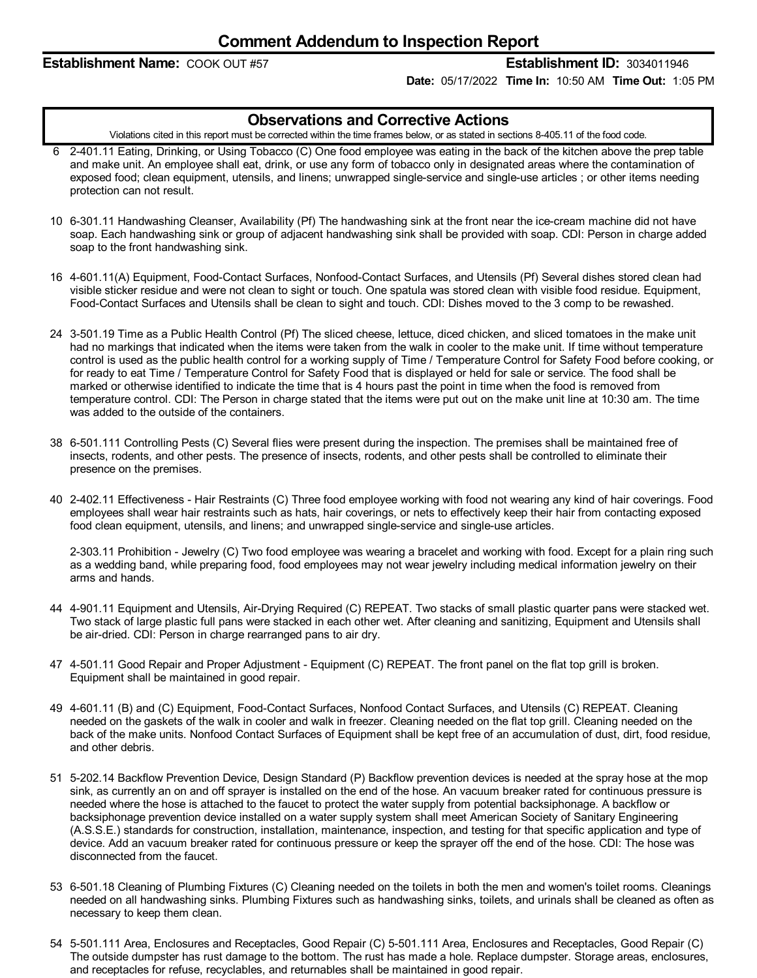#### **Establishment Name:** COOK OUT #57 **Establishment ID:** 3034011946

**Date:** 05/17/2022 **Time In:** 10:50 AM **Time Out:** 1:05 PM

#### **Observations and Corrective Actions**

Violations cited in this report must be corrected within the time frames below, or as stated in sections 8-405.11 of the food code.

- 6 2-401.11 Eating, Drinking, or Using Tobacco (C) One food employee was eating in the back of the kitchen above the prep table and make unit. An employee shall eat, drink, or use any form of tobacco only in designated areas where the contamination of exposed food; clean equipment, utensils, and linens; unwrapped single-service and single-use articles ; or other items needing protection can not result.
- 10 6-301.11 Handwashing Cleanser, Availability (Pf) The handwashing sink at the front near the ice-cream machine did not have soap. Each handwashing sink or group of adjacent handwashing sink shall be provided with soap. CDI: Person in charge added soap to the front handwashing sink.
- 16 4-601.11(A) Equipment, Food-Contact Surfaces, Nonfood-Contact Surfaces, and Utensils (Pf) Several dishes stored clean had visible sticker residue and were not clean to sight or touch. One spatula was stored clean with visible food residue. Equipment, Food-Contact Surfaces and Utensils shall be clean to sight and touch. CDI: Dishes moved to the 3 comp to be rewashed.
- 24 3-501.19 Time as a Public Health Control (Pf) The sliced cheese, lettuce, diced chicken, and sliced tomatoes in the make unit had no markings that indicated when the items were taken from the walk in cooler to the make unit. If time without temperature control is used as the public health control for a working supply of Time / Temperature Control for Safety Food before cooking, or for ready to eat Time / Temperature Control for Safety Food that is displayed or held for sale or service. The food shall be marked or otherwise identified to indicate the time that is 4 hours past the point in time when the food is removed from temperature control. CDI: The Person in charge stated that the items were put out on the make unit line at 10:30 am. The time was added to the outside of the containers.
- 38 6-501.111 Controlling Pests (C) Several flies were present during the inspection. The premises shall be maintained free of insects, rodents, and other pests. The presence of insects, rodents, and other pests shall be controlled to eliminate their presence on the premises.
- 40 2-402.11 Effectiveness -Hair Restraints (C) Three food employee working with food not wearing any kind of hair coverings. Food employees shall wear hair restraints such as hats, hair coverings, or nets to effectively keep their hair from contacting exposed food clean equipment, utensils, and linens; and unwrapped single-service and single-use articles.

2-303.11 Prohibition - Jewelry (C) Two food employee was wearing a bracelet and working with food. Except for a plain ring such as a wedding band, while preparing food, food employees may not wear jewelry including medical information jewelry on their arms and hands.

- 44 4-901.11 Equipment and Utensils, Air-Drying Required (C) REPEAT. Two stacks of small plastic quarter pans were stacked wet. Two stack of large plastic full pans were stacked in each other wet. After cleaning and sanitizing, Equipment and Utensils shall be air-dried. CDI: Person in charge rearranged pans to air dry.
- 47 4-501.11 Good Repair and Proper Adjustment Equipment (C) REPEAT. The front panel on the flat top grill is broken. Equipment shall be maintained in good repair.
- 49 4-601.11 (B) and (C) Equipment, Food-Contact Surfaces, Nonfood Contact Surfaces, and Utensils (C) REPEAT. Cleaning needed on the gaskets of the walk in cooler and walk in freezer. Cleaning needed on the flat top grill. Cleaning needed on the back of the make units. Nonfood Contact Surfaces of Equipment shall be kept free of an accumulation of dust, dirt, food residue, and other debris.
- 51 5-202.14 Backflow Prevention Device, Design Standard (P) Backflow prevention devices is needed at the spray hose at the mop sink, as currently an on and off sprayer is installed on the end of the hose. An vacuum breaker rated for continuous pressure is needed where the hose is attached to the faucet to protect the water supply from potential backsiphonage. A backflow or backsiphonage prevention device installed on a water supply system shall meet American Society of Sanitary Engineering (A.S.S.E.) standards for construction, installation, maintenance, inspection, and testing for that specific application and type of device. Add an vacuum breaker rated for continuous pressure or keep the sprayer off the end of the hose. CDI: The hose was disconnected from the faucet.
- 53 6-501.18 Cleaning of Plumbing Fixtures (C) Cleaning needed on the toilets in both the men and women's toilet rooms. Cleanings needed on all handwashing sinks. Plumbing Fixtures such as handwashing sinks, toilets, and urinals shall be cleaned as often as necessary to keep them clean.
- 54 5-501.111 Area, Enclosures and Receptacles, Good Repair (C) 5-501.111 Area, Enclosures and Receptacles, Good Repair (C) The outside dumpster has rust damage to the bottom. The rust has made a hole. Replace dumpster. Storage areas, enclosures, and receptacles for refuse, recyclables, and returnables shall be maintained in good repair.